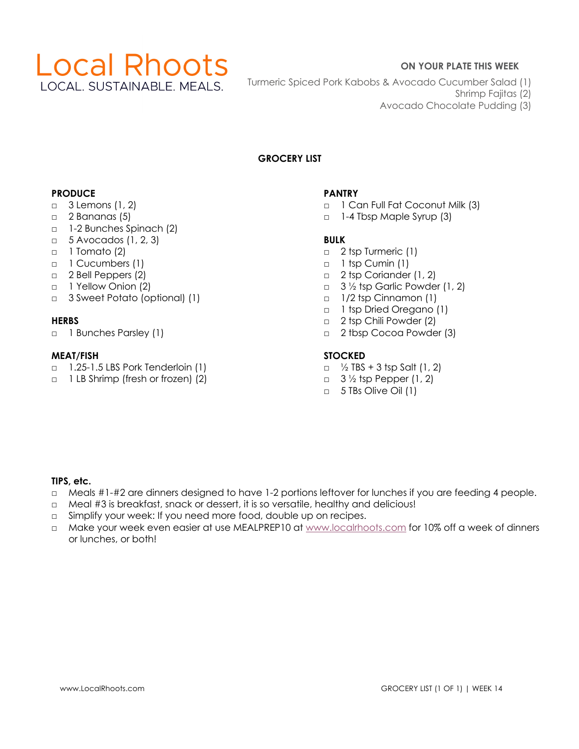

## **ON YOUR PLATE THIS WEEK**

- Turmeric Spiced Pork Kabobs & Avocado Cucumber Salad (1)
	- Shrimp Fajitas (2)
	- Avocado Chocolate Pudding (3)

# **GROCERY LIST**

## **PRODUCE**

- □ 3 Lemons (1, 2)
- $\Box$  2 Bananas (5)
- □ 1-2 Bunches Spinach (2)
- $\Box$  5 Avocados (1, 2, 3)
- □ 1 Tomato (2)
- □ 1 Cucumbers (1)
- □ 2 Bell Peppers (2)
- □ 1 Yellow Onion (2)
- □ 3 Sweet Potato (optional) (1)

## **HERBS**

□ 1 Bunches Parsley (1)

## **MEAT/FISH**

- □ 1.25-1.5 LBS Pork Tenderloin (1)
- □ 1 LB Shrimp (fresh or frozen) (2)

# **PANTRY**

- □ 1 Can Full Fat Coconut Milk (3)
- □ 1-4 Tbsp Maple Syrup (3)

# **BULK**

- □ 2 tsp Turmeric (1)
- □ 1 tsp Cumin (1)
- □ 2 tsp Coriander (1, 2)
- $\Box$  3 1/2 tsp Garlic Powder (1, 2)
- □ 1/2 tsp Cinnamon (1)
- □ 1 tsp Dried Oregano (1)
- □ 2 tsp Chili Powder (2)
- □ 2 tbsp Cocoa Powder (3)

# **STOCKED**

- $\Box$  1/2 TBS + 3 tsp Salt (1, 2)
- $\Box$  3  $\frac{1}{2}$  tsp Pepper (1, 2)
- □ 5 TBs Olive Oil (1)

## **TIPS, etc.**

- □ Meals #1-#2 are dinners designed to have 1-2 portions leftover for lunches if you are feeding 4 people.
- □ Meal #3 is breakfast, snack or dessert, it is so versatile, healthy and delicious!
- □ Simplify your week: If you need more food, double up on recipes.
- □ Make your week even easier at use MEALPREP10 at www.localrhoots.com for 10% off a week of dinners or lunches, or both!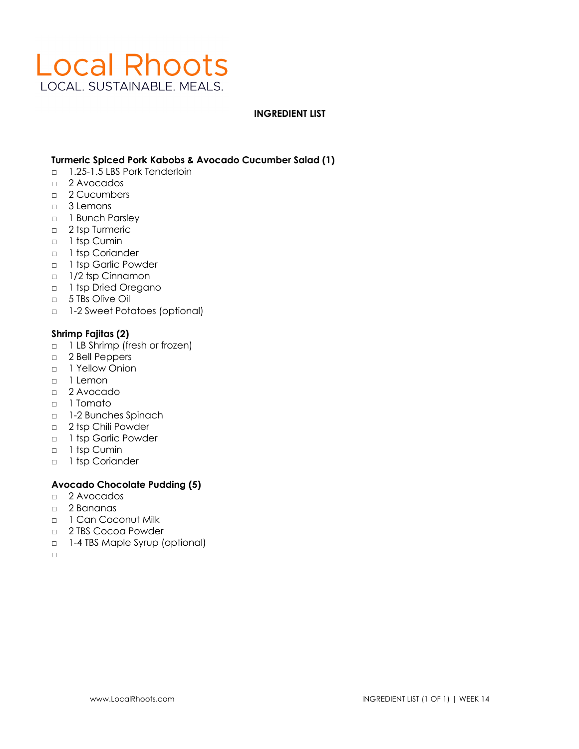# **Local Rhoots** LOCAL. SUSTAINABLE. MEALS.

#### **INGREDIENT LIST**

#### **Turmeric Spiced Pork Kabobs & Avocado Cucumber Salad (1)**

- □ 1.25-1.5 LBS Pork Tenderloin
- □ 2 Avocados
- □ 2 Cucumbers
- □ 3 Lemons
- □ 1 Bunch Parsley
- □ 2 tsp Turmeric
- □ 1 tsp Cumin
- □ 1 tsp Coriander
- □ 1 tsp Garlic Powder
- □ 1/2 tsp Cinnamon
- □ 1 tsp Dried Oregano
- □ 5 TBs Olive Oil
- □ 1-2 Sweet Potatoes (optional)

#### **Shrimp Fajitas (2)**

- □ 1 LB Shrimp (fresh or frozen)
- □ 2 Bell Peppers
- □ 1 Yellow Onion
- □ 1 Lemon
- □ 2 Avocado
- □ 1 Tomato
- □ 1-2 Bunches Spinach
- □ 2 tsp Chili Powder
- □ 1 tsp Garlic Powder
- □ 1 tsp Cumin
- □ 1 tsp Coriander

## **Avocado Chocolate Pudding (5)**

- □ 2 Avocados
- □ 2 Bananas
- □ 1 Can Coconut Milk
- □ 2 TBS Cocoa Powder
- □ 1-4 TBS Maple Syrup (optional)
- □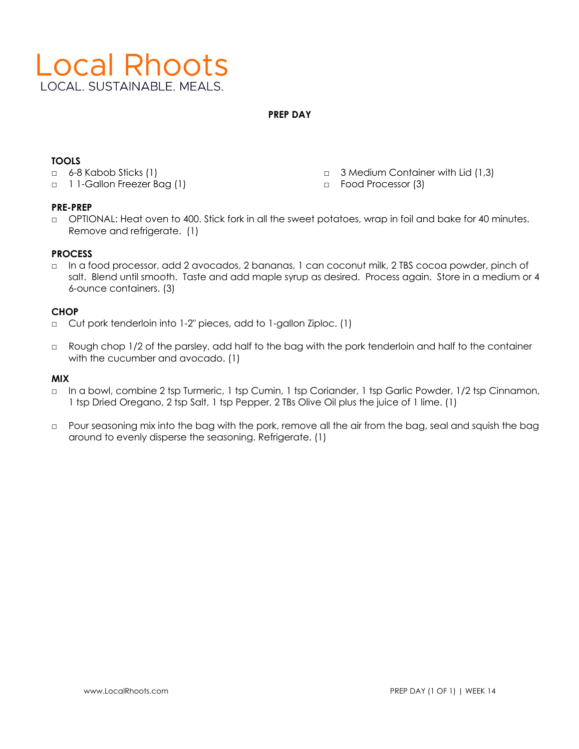

**PREP DAY**

# **TOOLS**

- □ 6-8 Kabob Sticks (1)
- □ 1 1-Gallon Freezer Bag (1)
- □ 3 Medium Container with Lid (1,3)
- □ Food Processor (3)

## **PRE-PREP**

□ OPTIONAL: Heat oven to 400. Stick fork in all the sweet potatoes, wrap in foil and bake for 40 minutes. Remove and refrigerate. (1)

## **PROCESS**

□ In a food processor, add 2 avocados, 2 bananas, 1 can coconut milk, 2 TBS cocoa powder, pinch of salt. Blend until smooth. Taste and add maple syrup as desired. Process again. Store in a medium or 4 6-ounce containers. (3)

## **CHOP**

- □ Cut pork tenderloin into 1-2" pieces, add to 1-gallon Ziploc. (1)
- □ Rough chop 1/2 of the parsley, add half to the bag with the pork tenderloin and half to the container with the cucumber and avocado. (1)

## **MIX**

- □ In a bowl, combine 2 tsp Turmeric, 1 tsp Cumin, 1 tsp Coriander, 1 tsp Garlic Powder, 1/2 tsp Cinnamon, 1 tsp Dried Oregano, 2 tsp Salt, 1 tsp Pepper, 2 TBs Olive Oil plus the juice of 1 lime. (1)
- □ Pour seasoning mix into the bag with the pork, remove all the air from the bag, seal and squish the bag around to evenly disperse the seasoning. Refrigerate. (1)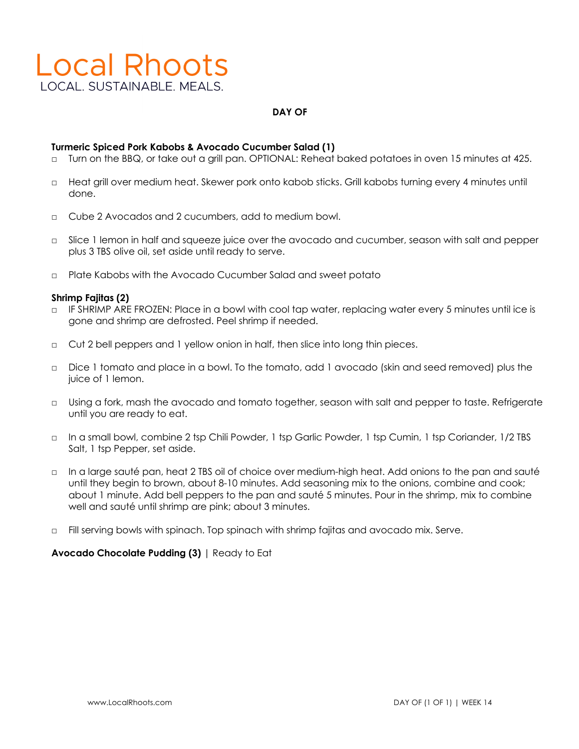# **Local Rhoots** LOCAL, SUSTAINABLE, MEALS.

#### **DAY OF**

#### **Turmeric Spiced Pork Kabobs & Avocado Cucumber Salad (1)**

- □ Turn on the BBQ, or take out a grill pan. OPTIONAL: Reheat baked potatoes in oven 15 minutes at 425.
- □ Heat grill over medium heat. Skewer pork onto kabob sticks. Grill kabobs turning every 4 minutes until done.
- □ Cube 2 Avocados and 2 cucumbers, add to medium bowl.
- □ Slice 1 lemon in half and squeeze juice over the avocado and cucumber, season with salt and pepper plus 3 TBS olive oil, set aside until ready to serve.
- □ Plate Kabobs with the Avocado Cucumber Salad and sweet potato

#### **Shrimp Fajitas (2)**

- □ IF SHRIMP ARE FROZEN: Place in a bowl with cool tap water, replacing water every 5 minutes until ice is gone and shrimp are defrosted. Peel shrimp if needed.
- □ Cut 2 bell peppers and 1 yellow onion in half, then slice into long thin pieces.
- □ Dice 1 tomato and place in a bowl. To the tomato, add 1 avocado (skin and seed removed) plus the juice of 1 lemon.
- □ Using a fork, mash the avocado and tomato together, season with salt and pepper to taste. Refrigerate until you are ready to eat.
- □ In a small bowl, combine 2 tsp Chili Powder, 1 tsp Garlic Powder, 1 tsp Cumin, 1 tsp Coriander, 1/2 TBS Salt, 1 tsp Pepper, set aside.
- □ In a large sauté pan, heat 2 TBS oil of choice over medium-high heat. Add onions to the pan and sauté until they begin to brown, about 8-10 minutes. Add seasoning mix to the onions, combine and cook; about 1 minute. Add bell peppers to the pan and sauté 5 minutes. Pour in the shrimp, mix to combine well and sauté until shrimp are pink; about 3 minutes.
- □ Fill serving bowls with spinach. Top spinach with shrimp fajitas and avocado mix. Serve.

#### **Avocado Chocolate Pudding (3)** | Ready to Eat